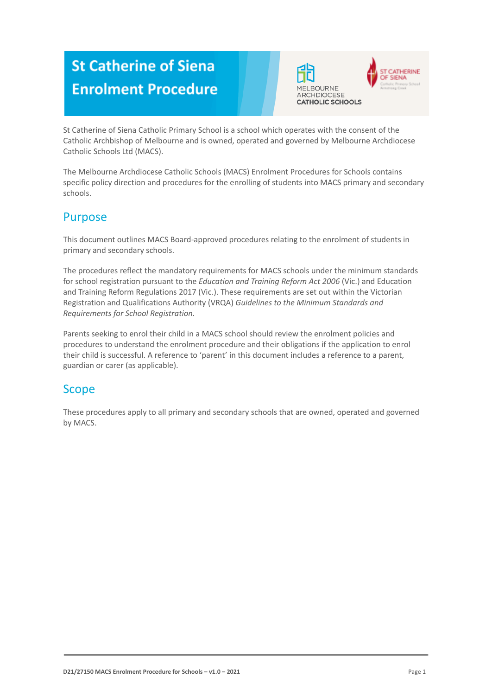# **St Catherine of Siena Enrolment Procedure**





St Catherine of Siena Catholic Primary School is a school which operates with the consent of the Catholic Archbishop of Melbourne and is owned, operated and governed by Melbourne Archdiocese Catholic Schools Ltd (MACS).

The Melbourne Archdiocese Catholic Schools (MACS) Enrolment Procedures for Schools contains specific policy direction and procedures for the enrolling of students into MACS primary and secondary schools.

### Purpose

This document outlines MACS Board-approved procedures relating to the enrolment of students in primary and secondary schools.

The procedures reflect the mandatory requirements for MACS schools under the minimum standards for school registration pursuant to the *Education and Training Reform Act 2006* (Vic.) and Education and Training Reform Regulations 2017 (Vic.). These requirements are set out within the Victorian Registration and Qualifications Authority (VRQA) *Guidelines to the Minimum Standards and Requirements for School Registration.*

Parents seeking to enrol their child in a MACS school should review the enrolment policies and procedures to understand the enrolment procedure and their obligations if the application to enrol their child is successful. A reference to 'parent' in this document includes a reference to a parent, guardian or carer (as applicable).

### Scope

These procedures apply to all primary and secondary schools that are owned, operated and governed by MACS.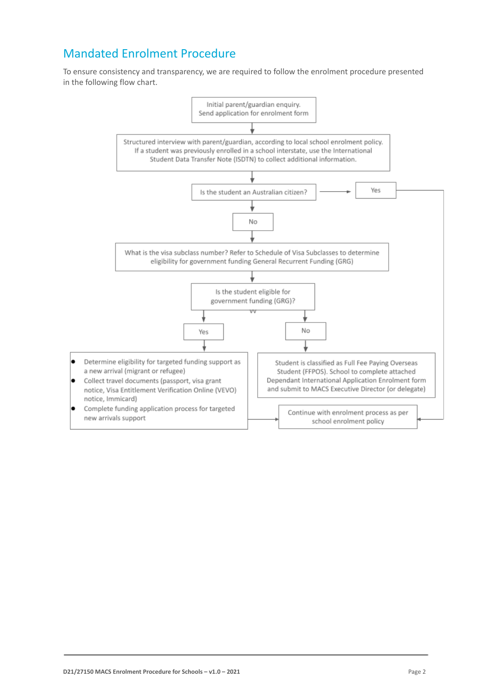## Mandated Enrolment Procedure

To ensure consistency and transparency, we are required to follow the enrolment procedure presented in the following flow chart.

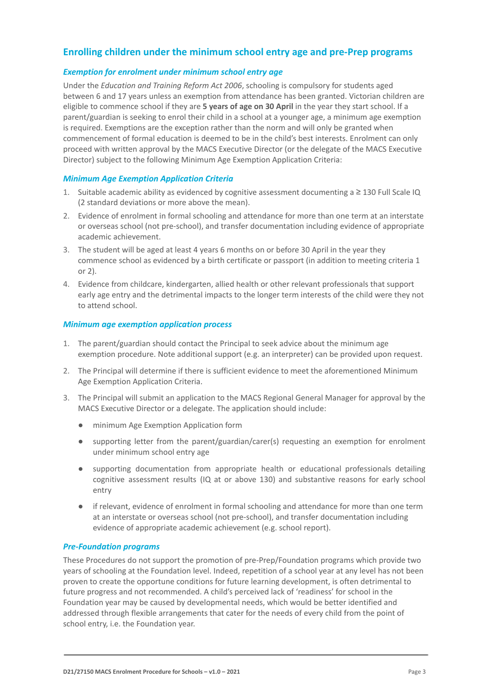### **Enrolling children under the minimum school entry age and pre-Prep programs**

#### *Exemption for enrolment under minimum school entry age*

Under the *Education and Training Reform Act 2006*, schooling is compulsory for students aged between 6 and 17 years unless an exemption from attendance has been granted. Victorian children are eligible to commence school if they are **5 years of age on 30 April** in the year they start school. If a parent/guardian is seeking to enrol their child in a school at a younger age, a minimum age exemption is required. Exemptions are the exception rather than the norm and will only be granted when commencement of formal education is deemed to be in the child's best interests. Enrolment can only proceed with written approval by the MACS Executive Director (or the delegate of the MACS Executive Director) subject to the following Minimum Age Exemption Application Criteria:

#### *Minimum Age Exemption Application Criteria*

- 1. Suitable academic ability as evidenced by cognitive assessment documenting a ≥ 130 Full Scale IQ (2 standard deviations or more above the mean).
- 2. Evidence of enrolment in formal schooling and attendance for more than one term at an interstate or overseas school (not pre-school), and transfer documentation including evidence of appropriate academic achievement.
- 3. The student will be aged at least 4 years 6 months on or before 30 April in the year they commence school as evidenced by a birth certificate or passport (in addition to meeting criteria 1 or 2).
- 4. Evidence from childcare, kindergarten, allied health or other relevant professionals that support early age entry and the detrimental impacts to the longer term interests of the child were they not to attend school.

#### *Minimum age exemption application process*

- 1. The parent/guardian should contact the Principal to seek advice about the minimum age exemption procedure. Note additional support (e.g. an interpreter) can be provided upon request.
- 2. The Principal will determine if there is sufficient evidence to meet the aforementioned Minimum Age Exemption Application Criteria.
- 3. The Principal will submit an application to the MACS Regional General Manager for approval by the MACS Executive Director or a delegate. The application should include:
	- minimum Age Exemption Application form
	- supporting letter from the parent/guardian/carer(s) requesting an exemption for enrolment under minimum school entry age
	- supporting documentation from appropriate health or educational professionals detailing cognitive assessment results (IQ at or above 130) and substantive reasons for early school entry
	- if relevant, evidence of enrolment in formal schooling and attendance for more than one term at an interstate or overseas school (not pre-school), and transfer documentation including evidence of appropriate academic achievement (e.g. school report).

#### *Pre-Foundation programs*

These Procedures do not support the promotion of pre-Prep/Foundation programs which provide two years of schooling at the Foundation level. Indeed, repetition of a school year at any level has not been proven to create the opportune conditions for future learning development, is often detrimental to future progress and not recommended. A child's perceived lack of 'readiness' for school in the Foundation year may be caused by developmental needs, which would be better identified and addressed through flexible arrangements that cater for the needs of every child from the point of school entry, i.e. the Foundation year.